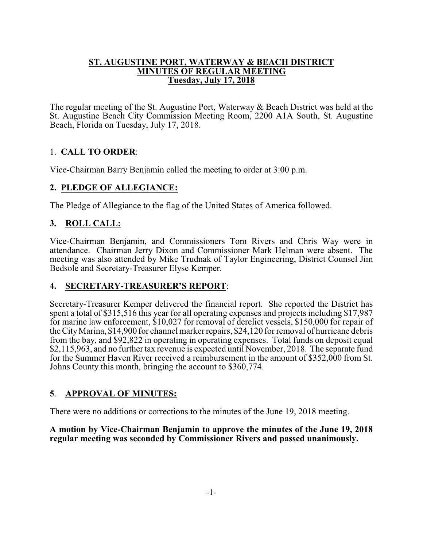#### **ST. AUGUSTINE PORT, WATERWAY & BEACH DISTRICT MINUTES OF REGULAR MEETING Tuesday, July 17, 2018**

The regular meeting of the St. Augustine Port, Waterway & Beach District was held at the St. Augustine Beach City Commission Meeting Room, 2200 A1A South, St. Augustine Beach, Florida on Tuesday, July 17, 2018.

# 1. **CALL TO ORDER**:

Vice-Chairman Barry Benjamin called the meeting to order at 3:00 p.m.

## **2. PLEDGE OF ALLEGIANCE:**

The Pledge of Allegiance to the flag of the United States of America followed.

## **3. ROLL CALL:**

Vice-Chairman Benjamin, and Commissioners Tom Rivers and Chris Way were in attendance. Chairman Jerry Dixon and Commissioner Mark Helman were absent. The meeting was also attended by Mike Trudnak of Taylor Engineering, District Counsel Jim Bedsole and Secretary-Treasurer Elyse Kemper.

## **4. SECRETARY-TREASURER'S REPORT**:

Secretary-Treasurer Kemper delivered the financial report. She reported the District has spent a total of \$315,516 this year for all operating expenses and projects including \$17,987 for marine law enforcement, \$10,027 for removal of derelict vessels, \$150,000 for repair of the CityMarina, \$14,900 for channel marker repairs, \$24,120 for removal of hurricane debris from the bay, and \$92,822 in operating in operating expenses. Total funds on deposit equal \$2,115,963, and no further tax revenue is expected until November, 2018. The separate fund for the Summer Haven River received a reimbursement in the amount of \$352,000 from St. Johns County this month, bringing the account to \$360,774.

## **5**. **APPROVAL OF MINUTES:**

There were no additions or corrections to the minutes of the June 19, 2018 meeting.

**A motion by Vice-Chairman Benjamin to approve the minutes of the June 19, 2018 regular meeting was seconded by Commissioner Rivers and passed unanimously.**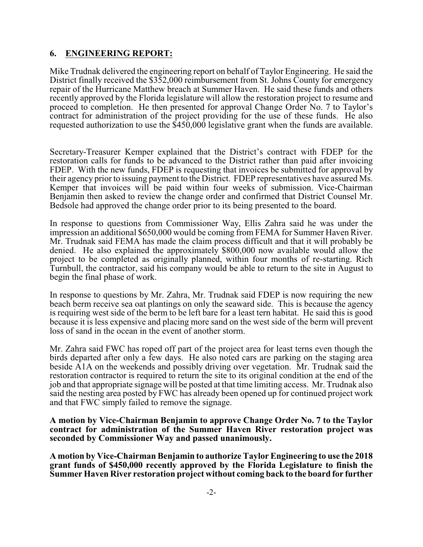### **6. ENGINEERING REPORT:**

Mike Trudnak delivered the engineering report on behalf of Taylor Engineering. He said the District finally received the \$352,000 reimbursement from St. Johns County for emergency repair of the Hurricane Matthew breach at Summer Haven. He said these funds and others recently approved by the Florida legislature will allow the restoration project to resume and proceed to completion. He then presented for approval Change Order No. 7 to Taylor's contract for administration of the project providing for the use of these funds. He also requested authorization to use the \$450,000 legislative grant when the funds are available.

Secretary-Treasurer Kemper explained that the District's contract with FDEP for the restoration calls for funds to be advanced to the District rather than paid after invoicing FDEP. With the new funds, FDEP is requesting that invoices be submitted for approval by their agency prior to issuing payment to the District. FDEP representatives have assured Ms. Kemper that invoices will be paid within four weeks of submission. Vice-Chairman Benjamin then asked to review the change order and confirmed that District Counsel Mr. Bedsole had approved the change order prior to its being presented to the board.

In response to questions from Commissioner Way, Ellis Zahra said he was under the impression an additional \$650,000 would be coming from FEMA for Summer Haven River. Mr. Trudnak said FEMA has made the claim process difficult and that it will probably be denied. He also explained the approximately \$800,000 now available would allow the project to be completed as originally planned, within four months of re-starting. Rich Turnbull, the contractor, said his company would be able to return to the site in August to begin the final phase of work.

In response to questions by Mr. Zahra, Mr. Trudnak said FDEP is now requiring the new beach berm receive sea oat plantings on only the seaward side. This is because the agency is requiring west side of the berm to be left bare for a least tern habitat. He said this is good because it is less expensive and placing more sand on the west side of the berm will prevent loss of sand in the ocean in the event of another storm.

Mr. Zahra said FWC has roped off part of the project area for least terns even though the birds departed after only a few days. He also noted cars are parking on the staging area beside A1A on the weekends and possibly driving over vegetation. Mr. Trudnak said the restoration contractor is required to return the site to its original condition at the end of the job and that appropriate signage will be posted at that time limiting access. Mr. Trudnak also said the nesting area posted by FWC has already been opened up for continued project work and that FWC simply failed to remove the signage.

**A motion by Vice-Chairman Benjamin to approve Change Order No. 7 to the Taylor contract for administration of the Summer Haven River restoration project was seconded by Commissioner Way and passed unanimously.**

**A motion by Vice-Chairman Benjamin to authorize Taylor Engineering to use the 2018 grant funds of \$450,000 recently approved by the Florida Legislature to finish the Summer Haven River restoration project without coming back to the board for further**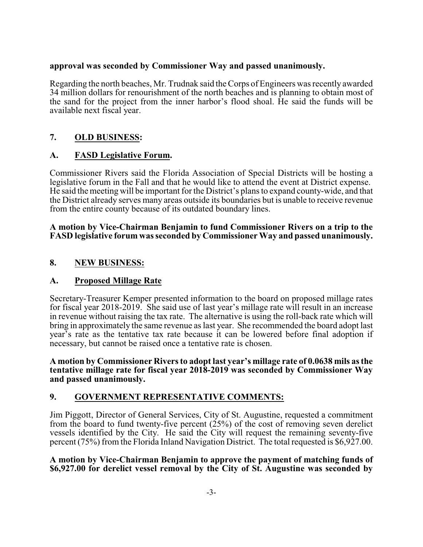### **approval was seconded by Commissioner Way and passed unanimously.**

Regarding the north beaches, Mr. Trudnak said the Corps of Engineers was recently awarded 34 million dollars for renourishment of the north beaches and is planning to obtain most of the sand for the project from the inner harbor's flood shoal. He said the funds will be available next fiscal year.

## **7. OLD BUSINESS:**

## **A. FASD Legislative Forum.**

Commissioner Rivers said the Florida Association of Special Districts will be hosting a legislative forum in the Fall and that he would like to attend the event at District expense. He said the meeting will be important for the District's plans to expand county-wide, and that the District already serves many areas outside its boundaries but is unable to receive revenue from the entire county because of its outdated boundary lines.

#### **A motion by Vice-Chairman Benjamin to fund Commissioner Rivers on a trip to the FASD legislative forum was seconded by Commissioner Way and passed unanimously.**

## **8. NEW BUSINESS:**

## **A. Proposed Millage Rate**

Secretary-Treasurer Kemper presented information to the board on proposed millage rates for fiscal year 2018-2019. She said use of last year's millage rate will result in an increase in revenue without raising the tax rate. The alternative is using the roll-back rate which will bring in approximately the same revenue as last year. She recommended the board adopt last year's rate as the tentative tax rate because it can be lowered before final adoption if necessary, but cannot be raised once a tentative rate is chosen.

**A motion by Commissioner Rivers to adopt last year's millage rate of 0.0638 mils as the tentative millage rate for fiscal year 2018-2019 was seconded by Commissioner Way and passed unanimously.**

## **9. GOVERNMENT REPRESENTATIVE COMMENTS:**

Jim Piggott, Director of General Services, City of St. Augustine, requested a commitment from the board to fund twenty-five percent (25%) of the cost of removing seven derelict vessels identified by the City. He said the City will request the remaining seventy-five percent (75%) from the Florida Inland Navigation District. The total requested is \$6,927.00.

#### **A motion by Vice-Chairman Benjamin to approve the payment of matching funds of \$6,927.00 for derelict vessel removal by the City of St. Augustine was seconded by**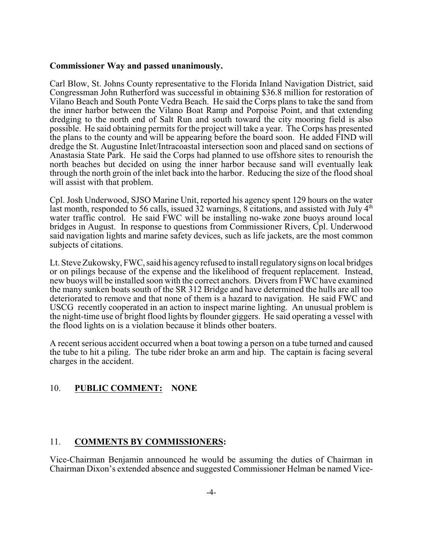#### **Commissioner Way and passed unanimously.**

Carl Blow, St. Johns County representative to the Florida Inland Navigation District, said Congressman John Rutherford was successful in obtaining \$36.8 million for restoration of Vilano Beach and South Ponte Vedra Beach. He said the Corps plans to take the sand from the inner harbor between the Vilano Boat Ramp and Porpoise Point, and that extending dredging to the north end of Salt Run and south toward the city mooring field is also possible. He said obtaining permits for the project will take a year. The Corps has presented the plans to the county and will be appearing before the board soon. He added FIND will dredge the St. Augustine Inlet/Intracoastal intersection soon and placed sand on sections of Anastasia State Park. He said the Corps had planned to use offshore sites to renourish the north beaches but decided on using the inner harbor because sand will eventually leak through the north groin of the inlet back into the harbor. Reducing the size of the flood shoal will assist with that problem.

Cpl. Josh Underwood, SJSO Marine Unit, reported his agency spent 129 hours on the water last month, responded to 56 calls, issued 32 warnings, 8 citations, and assisted with July  $4<sup>th</sup>$ water traffic control. He said FWC will be installing no-wake zone buoys around local bridges in August. In response to questions from Commissioner Rivers, Cpl. Underwood said navigation lights and marine safety devices, such as life jackets, are the most common subjects of citations.

Lt. Steve Zukowsky, FWC, said his agency refused to install regulatorysigns on local bridges or on pilings because of the expense and the likelihood of frequent replacement. Instead, new buoys will be installed soon with the correct anchors. Divers from FWC have examined the many sunken boats south of the SR 312 Bridge and have determined the hulls are all too deteriorated to remove and that none of them is a hazard to navigation. He said FWC and USCG recently cooperated in an action to inspect marine lighting. An unusual problem is the night-time use of bright flood lights by flounder giggers. He said operating a vessel with the flood lights on is a violation because it blinds other boaters.

A recent serious accident occurred when a boat towing a person on a tube turned and caused the tube to hit a piling. The tube rider broke an arm and hip. The captain is facing several charges in the accident.

#### 10. **PUBLIC COMMENT: NONE**

#### 11. **COMMENTS BY COMMISSIONERS:**

Vice-Chairman Benjamin announced he would be assuming the duties of Chairman in Chairman Dixon's extended absence and suggested Commissioner Helman be named Vice